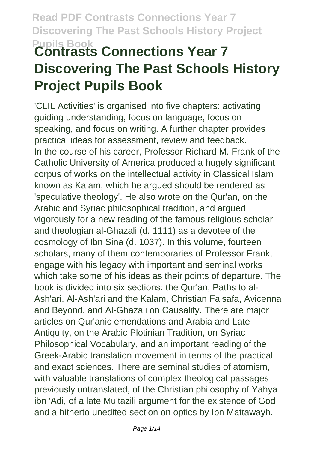# **Pupils Book Contrasts Connections Year 7 Discovering The Past Schools History Project Pupils Book**

'CLIL Activities' is organised into five chapters: activating, guiding understanding, focus on language, focus on speaking, and focus on writing. A further chapter provides practical ideas for assessment, review and feedback. In the course of his career, Professor Richard M. Frank of the Catholic University of America produced a hugely significant corpus of works on the intellectual activity in Classical Islam known as Kalam, which he argued should be rendered as 'speculative theology'. He also wrote on the Qur'an, on the Arabic and Syriac philosophical tradition, and argued vigorously for a new reading of the famous religious scholar and theologian al-Ghazali (d. 1111) as a devotee of the cosmology of Ibn Sina (d. 1037). In this volume, fourteen scholars, many of them contemporaries of Professor Frank, engage with his legacy with important and seminal works which take some of his ideas as their points of departure. The book is divided into six sections: the Qur'an, Paths to al-Ash'ari, Al-Ash'ari and the Kalam, Christian Falsafa, Avicenna and Beyond, and Al-Ghazali on Causality. There are major articles on Qur'anic emendations and Arabia and Late Antiquity, on the Arabic Plotinian Tradition, on Syriac Philosophical Vocabulary, and an important reading of the Greek-Arabic translation movement in terms of the practical and exact sciences. There are seminal studies of atomism, with valuable translations of complex theological passages previously untranslated, of the Christian philosophy of Yahya ibn 'Adi, of a late Mu'tazili argument for the existence of God and a hitherto unedited section on optics by Ibn Mattawayh.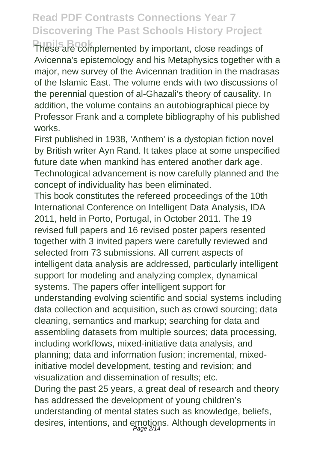**Pupils Book** These are complemented by important, close readings of Avicenna's epistemology and his Metaphysics together with a major, new survey of the Avicennan tradition in the madrasas of the Islamic East. The volume ends with two discussions of the perennial question of al-Ghazali's theory of causality. In addition, the volume contains an autobiographical piece by Professor Frank and a complete bibliography of his published works.

First published in 1938, 'Anthem' is a dystopian fiction novel by British writer Ayn Rand. It takes place at some unspecified future date when mankind has entered another dark age. Technological advancement is now carefully planned and the concept of individuality has been eliminated.

This book constitutes the refereed proceedings of the 10th International Conference on Intelligent Data Analysis, IDA 2011, held in Porto, Portugal, in October 2011. The 19 revised full papers and 16 revised poster papers resented together with 3 invited papers were carefully reviewed and selected from 73 submissions. All current aspects of intelligent data analysis are addressed, particularly intelligent support for modeling and analyzing complex, dynamical systems. The papers offer intelligent support for understanding evolving scientific and social systems including data collection and acquisition, such as crowd sourcing; data cleaning, semantics and markup; searching for data and assembling datasets from multiple sources; data processing, including workflows, mixed-initiative data analysis, and planning; data and information fusion; incremental, mixedinitiative model development, testing and revision; and visualization and dissemination of results; etc. During the past 25 years, a great deal of research and theory has addressed the development of young children's understanding of mental states such as knowledge, beliefs, desires, intentions, and emotions. Although developments in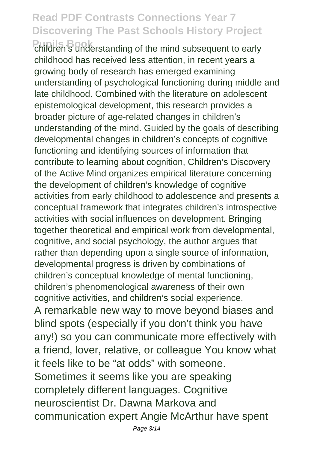**Pupils Book** children's understanding of the mind subsequent to early childhood has received less attention, in recent years a growing body of research has emerged examining understanding of psychological functioning during middle and late childhood. Combined with the literature on adolescent epistemological development, this research provides a broader picture of age-related changes in children's understanding of the mind. Guided by the goals of describing developmental changes in children's concepts of cognitive functioning and identifying sources of information that contribute to learning about cognition, Children's Discovery of the Active Mind organizes empirical literature concerning the development of children's knowledge of cognitive activities from early childhood to adolescence and presents a conceptual framework that integrates children's introspective activities with social influences on development. Bringing together theoretical and empirical work from developmental, cognitive, and social psychology, the author argues that rather than depending upon a single source of information, developmental progress is driven by combinations of children's conceptual knowledge of mental functioning, children's phenomenological awareness of their own cognitive activities, and children's social experience. A remarkable new way to move beyond biases and blind spots (especially if you don't think you have any!) so you can communicate more effectively with a friend, lover, relative, or colleague You know what it feels like to be "at odds" with someone. Sometimes it seems like you are speaking completely different languages. Cognitive neuroscientist Dr. Dawna Markova and communication expert Angie McArthur have spent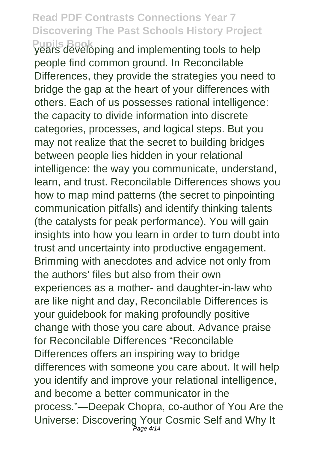**Pupils Book** years developing and implementing tools to help people find common ground. In Reconcilable Differences, they provide the strategies you need to bridge the gap at the heart of your differences with others. Each of us possesses rational intelligence: the capacity to divide information into discrete categories, processes, and logical steps. But you may not realize that the secret to building bridges between people lies hidden in your relational intelligence: the way you communicate, understand, learn, and trust. Reconcilable Differences shows you how to map mind patterns (the secret to pinpointing communication pitfalls) and identify thinking talents (the catalysts for peak performance). You will gain insights into how you learn in order to turn doubt into trust and uncertainty into productive engagement. Brimming with anecdotes and advice not only from the authors' files but also from their own experiences as a mother- and daughter-in-law who are like night and day, Reconcilable Differences is your guidebook for making profoundly positive change with those you care about. Advance praise for Reconcilable Differences "Reconcilable Differences offers an inspiring way to bridge differences with someone you care about. It will help you identify and improve your relational intelligence, and become a better communicator in the process."—Deepak Chopra, co-author of You Are the Universe: Discovering Your Cosmic Self and Why It Page 4/14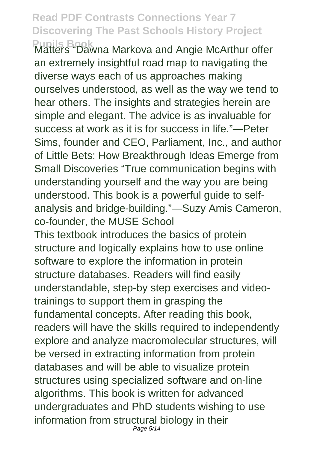**Pupils Book**<br>Matters "Dawna Markova and Angie McArthur offer an extremely insightful road map to navigating the diverse ways each of us approaches making ourselves understood, as well as the way we tend to hear others. The insights and strategies herein are simple and elegant. The advice is as invaluable for success at work as it is for success in life."—Peter Sims, founder and CEO, Parliament, Inc., and author of Little Bets: How Breakthrough Ideas Emerge from Small Discoveries "True communication begins with understanding yourself and the way you are being understood. This book is a powerful guide to selfanalysis and bridge-building."—Suzy Amis Cameron, co-founder, the MUSE School

This textbook introduces the basics of protein structure and logically explains how to use online software to explore the information in protein structure databases. Readers will find easily understandable, step-by step exercises and videotrainings to support them in grasping the fundamental concepts. After reading this book, readers will have the skills required to independently explore and analyze macromolecular structures, will be versed in extracting information from protein databases and will be able to visualize protein structures using specialized software and on-line algorithms. This book is written for advanced undergraduates and PhD students wishing to use information from structural biology in their Page 5/14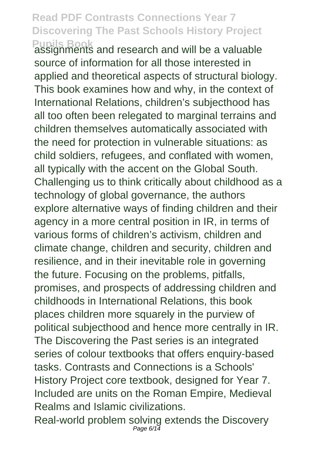Pupils Book<br>assignments and research and will be a valuable source of information for all those interested in applied and theoretical aspects of structural biology. This book examines how and why, in the context of International Relations, children's subjecthood has all too often been relegated to marginal terrains and children themselves automatically associated with the need for protection in vulnerable situations: as child soldiers, refugees, and conflated with women, all typically with the accent on the Global South. Challenging us to think critically about childhood as a technology of global governance, the authors explore alternative ways of finding children and their agency in a more central position in IR, in terms of various forms of children's activism, children and climate change, children and security, children and resilience, and in their inevitable role in governing the future. Focusing on the problems, pitfalls, promises, and prospects of addressing children and childhoods in International Relations, this book places children more squarely in the purview of political subjecthood and hence more centrally in IR. The Discovering the Past series is an integrated series of colour textbooks that offers enquiry-based tasks. Contrasts and Connections is a Schools' History Project core textbook, designed for Year 7. Included are units on the Roman Empire, Medieval Realms and Islamic civilizations.

Real-world problem solving extends the Discovery Page  $6/14$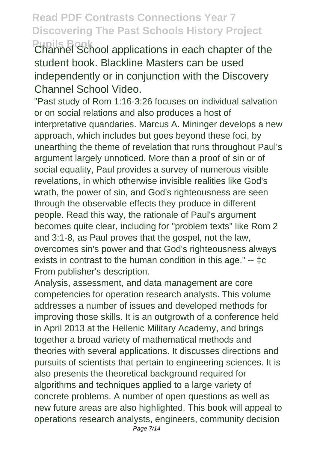**Pupils Book** Channel School applications in each chapter of the student book. Blackline Masters can be used independently or in conjunction with the Discovery Channel School Video.

"Past study of Rom 1:16-3:26 focuses on individual salvation or on social relations and also produces a host of interpretative quandaries. Marcus A. Mininger develops a new approach, which includes but goes beyond these foci, by unearthing the theme of revelation that runs throughout Paul's argument largely unnoticed. More than a proof of sin or of social equality, Paul provides a survey of numerous visible revelations, in which otherwise invisible realities like God's wrath, the power of sin, and God's righteousness are seen through the observable effects they produce in different people. Read this way, the rationale of Paul's argument becomes quite clear, including for "problem texts" like Rom 2 and 3:1-8, as Paul proves that the gospel, not the law, overcomes sin's power and that God's righteousness always exists in contrast to the human condition in this age." -- ‡c From publisher's description.

Analysis, assessment, and data management are core competencies for operation research analysts. This volume addresses a number of issues and developed methods for improving those skills. It is an outgrowth of a conference held in April 2013 at the Hellenic Military Academy, and brings together a broad variety of mathematical methods and theories with several applications. It discusses directions and pursuits of scientists that pertain to engineering sciences. It is also presents the theoretical background required for algorithms and techniques applied to a large variety of concrete problems. A number of open questions as well as new future areas are also highlighted. This book will appeal to operations research analysts, engineers, community decision Page 7/14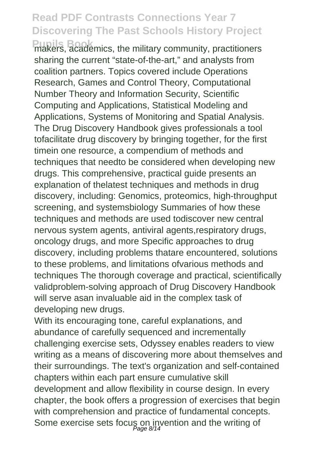**Pupils Book** makers, academics, the military community, practitioners sharing the current "state-of-the-art," and analysts from coalition partners. Topics covered include Operations Research, Games and Control Theory, Computational Number Theory and Information Security, Scientific Computing and Applications, Statistical Modeling and Applications, Systems of Monitoring and Spatial Analysis. The Drug Discovery Handbook gives professionals a tool tofacilitate drug discovery by bringing together, for the first timein one resource, a compendium of methods and techniques that needto be considered when developing new drugs. This comprehensive, practical guide presents an explanation of thelatest techniques and methods in drug discovery, including: Genomics, proteomics, high-throughput screening, and systemsbiology Summaries of how these techniques and methods are used todiscover new central nervous system agents, antiviral agents,respiratory drugs, oncology drugs, and more Specific approaches to drug discovery, including problems thatare encountered, solutions to these problems, and limitations ofvarious methods and techniques The thorough coverage and practical, scientifically validproblem-solving approach of Drug Discovery Handbook will serve asan invaluable aid in the complex task of developing new drugs.

With its encouraging tone, careful explanations, and abundance of carefully sequenced and incrementally challenging exercise sets, Odyssey enables readers to view writing as a means of discovering more about themselves and their surroundings. The text's organization and self-contained chapters within each part ensure cumulative skill development and allow flexibility in course design. In every chapter, the book offers a progression of exercises that begin with comprehension and practice of fundamental concepts. Some exercise sets focus on invention and the writing of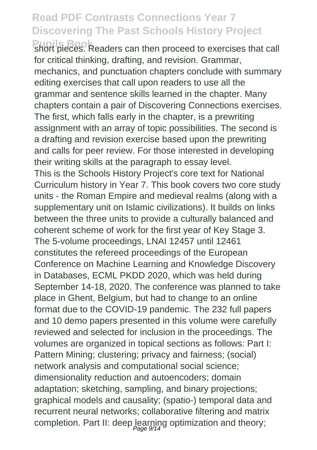**Pupils Book** short pieces. Readers can then proceed to exercises that call for critical thinking, drafting, and revision. Grammar, mechanics, and punctuation chapters conclude with summary editing exercises that call upon readers to use all the grammar and sentence skills learned in the chapter. Many chapters contain a pair of Discovering Connections exercises. The first, which falls early in the chapter, is a prewriting assignment with an array of topic possibilities. The second is a drafting and revision exercise based upon the prewriting and calls for peer review. For those interested in developing their writing skills at the paragraph to essay level. This is the Schools History Project's core text for National Curriculum history in Year 7. This book covers two core study

units - the Roman Empire and medieval realms (along with a supplementary unit on Islamic civilizations). It builds on links between the three units to provide a culturally balanced and coherent scheme of work for the first year of Key Stage 3. The 5-volume proceedings, LNAI 12457 until 12461 constitutes the refereed proceedings of the European Conference on Machine Learning and Knowledge Discovery in Databases, ECML PKDD 2020, which was held during September 14-18, 2020. The conference was planned to take place in Ghent, Belgium, but had to change to an online format due to the COVID-19 pandemic. The 232 full papers and 10 demo papers presented in this volume were carefully reviewed and selected for inclusion in the proceedings. The volumes are organized in topical sections as follows: Part I: Pattern Mining; clustering; privacy and fairness; (social) network analysis and computational social science; dimensionality reduction and autoencoders; domain adaptation; sketching, sampling, and binary projections; graphical models and causality; (spatio-) temporal data and recurrent neural networks; collaborative filtering and matrix completion. Part II: deep learning optimization and theory;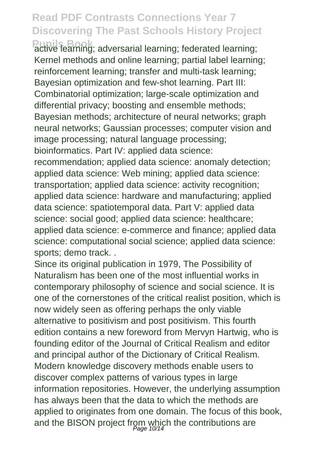Pupils Book; adversarial learning; federated learning; Kernel methods and online learning; partial label learning; reinforcement learning; transfer and multi-task learning; Bayesian optimization and few-shot learning. Part III: Combinatorial optimization; large-scale optimization and differential privacy; boosting and ensemble methods; Bayesian methods; architecture of neural networks; graph neural networks; Gaussian processes; computer vision and image processing; natural language processing; bioinformatics. Part IV: applied data science: recommendation; applied data science: anomaly detection; applied data science: Web mining; applied data science: transportation; applied data science: activity recognition; applied data science: hardware and manufacturing; applied data science: spatiotemporal data. Part V: applied data science: social good; applied data science: healthcare; applied data science: e-commerce and finance; applied data

science: computational social science; applied data science: sports; demo track. .

Since its original publication in 1979. The Possibility of Naturalism has been one of the most influential works in contemporary philosophy of science and social science. It is one of the cornerstones of the critical realist position, which is now widely seen as offering perhaps the only viable alternative to positivism and post positivism. This fourth edition contains a new foreword from Mervyn Hartwig, who is founding editor of the Journal of Critical Realism and editor and principal author of the Dictionary of Critical Realism. Modern knowledge discovery methods enable users to discover complex patterns of various types in large information repositories. However, the underlying assumption has always been that the data to which the methods are applied to originates from one domain. The focus of this book, and the BISON project from which the contributions are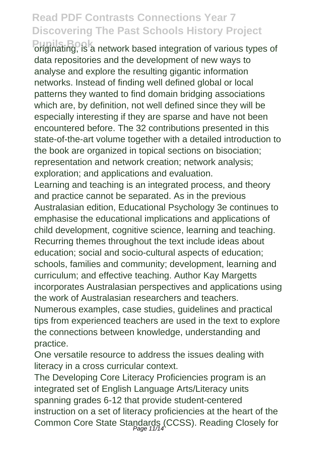**Pupils Book** originating, is a network based integration of various types of data repositories and the development of new ways to analyse and explore the resulting gigantic information networks. Instead of finding well defined global or local patterns they wanted to find domain bridging associations which are, by definition, not well defined since they will be especially interesting if they are sparse and have not been encountered before. The 32 contributions presented in this state-of-the-art volume together with a detailed introduction to the book are organized in topical sections on bisociation; representation and network creation; network analysis; exploration; and applications and evaluation.

Learning and teaching is an integrated process, and theory and practice cannot be separated. As in the previous Australasian edition, Educational Psychology 3e continues to emphasise the educational implications and applications of child development, cognitive science, learning and teaching. Recurring themes throughout the text include ideas about education; social and socio-cultural aspects of education; schools, families and community; development, learning and curriculum; and effective teaching. Author Kay Margetts incorporates Australasian perspectives and applications using the work of Australasian researchers and teachers.

Numerous examples, case studies, guidelines and practical tips from experienced teachers are used in the text to explore the connections between knowledge, understanding and practice.

One versatile resource to address the issues dealing with literacy in a cross curricular context.

The Developing Core Literacy Proficiencies program is an integrated set of English Language Arts/Literacy units spanning grades 6-12 that provide student-centered instruction on a set of literacy proficiencies at the heart of the Common Core State Standards (CCSS). Reading Closely for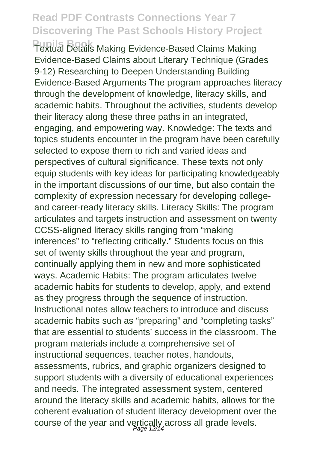**Pupils Book** Textual Details Making Evidence-Based Claims Making Evidence-Based Claims about Literary Technique (Grades 9-12) Researching to Deepen Understanding Building Evidence-Based Arguments The program approaches literacy through the development of knowledge, literacy skills, and academic habits. Throughout the activities, students develop their literacy along these three paths in an integrated, engaging, and empowering way. Knowledge: The texts and topics students encounter in the program have been carefully selected to expose them to rich and varied ideas and perspectives of cultural significance. These texts not only equip students with key ideas for participating knowledgeably in the important discussions of our time, but also contain the complexity of expression necessary for developing collegeand career-ready literacy skills. Literacy Skills: The program articulates and targets instruction and assessment on twenty CCSS-aligned literacy skills ranging from "making inferences" to "reflecting critically." Students focus on this set of twenty skills throughout the year and program, continually applying them in new and more sophisticated ways. Academic Habits: The program articulates twelve academic habits for students to develop, apply, and extend as they progress through the sequence of instruction. Instructional notes allow teachers to introduce and discuss academic habits such as "preparing" and "completing tasks" that are essential to students' success in the classroom. The program materials include a comprehensive set of instructional sequences, teacher notes, handouts, assessments, rubrics, and graphic organizers designed to support students with a diversity of educational experiences and needs. The integrated assessment system, centered around the literacy skills and academic habits, allows for the coherent evaluation of student literacy development over the course of the year and vertically across all grade levels.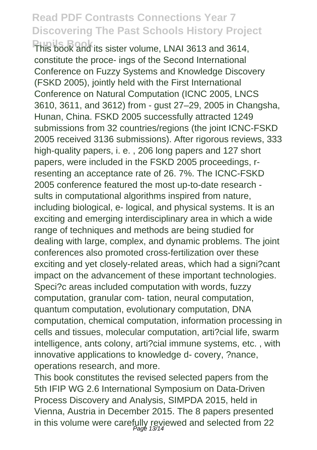**Pupils Book** This book and its sister volume, LNAI 3613 and 3614, constitute the proce- ings of the Second International Conference on Fuzzy Systems and Knowledge Discovery (FSKD 2005), jointly held with the First International Conference on Natural Computation (ICNC 2005, LNCS 3610, 3611, and 3612) from - gust 27–29, 2005 in Changsha, Hunan, China. FSKD 2005 successfully attracted 1249 submissions from 32 countries/regions (the joint ICNC-FSKD 2005 received 3136 submissions). After rigorous reviews, 333 high-quality papers, i. e. , 206 long papers and 127 short papers, were included in the FSKD 2005 proceedings, rresenting an acceptance rate of 26. 7%. The ICNC-FSKD 2005 conference featured the most up-to-date research sults in computational algorithms inspired from nature, including biological, e- logical, and physical systems. It is an exciting and emerging interdisciplinary area in which a wide range of techniques and methods are being studied for dealing with large, complex, and dynamic problems. The joint conferences also promoted cross-fertilization over these exciting and yet closely-related areas, which had a signi?cant impact on the advancement of these important technologies. Speci?c areas included computation with words, fuzzy computation, granular com- tation, neural computation, quantum computation, evolutionary computation, DNA computation, chemical computation, information processing in cells and tissues, molecular computation, arti?cial life, swarm intelligence, ants colony, arti?cial immune systems, etc. , with innovative applications to knowledge d- covery, ?nance, operations research, and more.

This book constitutes the revised selected papers from the 5th IFIP WG 2.6 International Symposium on Data-Driven Process Discovery and Analysis, SIMPDA 2015, held in Vienna, Austria in December 2015. The 8 papers presented in this volume were carefully reviewed and selected from 22